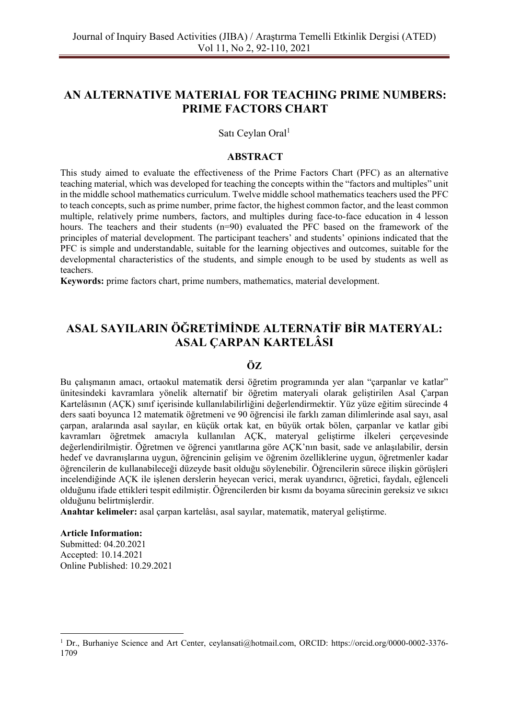# **AN ALTERNATIVE MATERIAL FOR TEACHING PRIME NUMBERS: PRIME FACTORS CHART**

Satı Ceylan Oral<sup>1</sup>

#### **ABSTRACT**

This study aimed to evaluate the effectiveness of the Prime Factors Chart (PFC) as an alternative teaching material, which was developed for teaching the concepts within the "factors and multiples" unit in the middle school mathematics curriculum. Twelve middle school mathematics teachers used the PFC to teach concepts, such as prime number, prime factor, the highest common factor, and the least common multiple, relatively prime numbers, factors, and multiples during face-to-face education in 4 lesson hours. The teachers and their students (n=90) evaluated the PFC based on the framework of the principles of material development. The participant teachers' and students' opinions indicated that the PFC is simple and understandable, suitable for the learning objectives and outcomes, suitable for the developmental characteristics of the students, and simple enough to be used by students as well as teachers.

**Keywords:** prime factors chart, prime numbers, mathematics, material development.

# **ASAL SAYILARIN ÖĞRETİMİNDE ALTERNATİF BİR MATERYAL: ASAL ÇARPAN KARTELÂSI**

#### **ÖZ**

Bu çalışmanın amacı, ortaokul matematik dersi öğretim programında yer alan "çarpanlar ve katlar" ünitesindeki kavramlara yönelik alternatif bir öğretim materyali olarak geliştirilen Asal Çarpan Kartelâsının (AÇK) sınıf içerisinde kullanılabilirliğini değerlendirmektir. Yüz yüze eğitim sürecinde 4 ders saati boyunca 12 matematik öğretmeni ve 90 öğrencisi ile farklı zaman dilimlerinde asal sayı, asal çarpan, aralarında asal sayılar, en küçük ortak kat, en büyük ortak bölen, çarpanlar ve katlar gibi kavramları öğretmek amacıyla kullanılan AÇK, materyal geliştirme ilkeleri çerçevesinde değerlendirilmiştir. Öğretmen ve öğrenci yanıtlarına göre AÇK'nın basit, sade ve anlaşılabilir, dersin hedef ve davranışlarına uygun, öğrencinin gelişim ve öğrenim özelliklerine uygun, öğretmenler kadar öğrencilerin de kullanabileceği düzeyde basit olduğu söylenebilir. Öğrencilerin sürece ilişkin görüşleri incelendiğinde AÇK ile işlenen derslerin heyecan verici, merak uyandırıcı, öğretici, faydalı, eğlenceli olduğunu ifade ettikleri tespit edilmiştir. Öğrencilerden bir kısmı da boyama sürecinin gereksiz ve sıkıcı olduğunu belirtmişlerdir.

**Anahtar kelimeler:** asal çarpan kartelâsı, asal sayılar, matematik, materyal geliştirme.

#### **Article Information:**

Submitted: 04.20.2021 Accepted: 10.14.2021 Online Published: 10.29.2021

<sup>1</sup> Dr., Burhaniye Science and Art Center, [ceylansati@hotmail.com,](mailto:ceylansati@hotmail.com) ORCID: https://orcid.org[/0000-0002-3376-](https://orcid.org/0000-0002-3376-1709) [1709](https://orcid.org/0000-0002-3376-1709)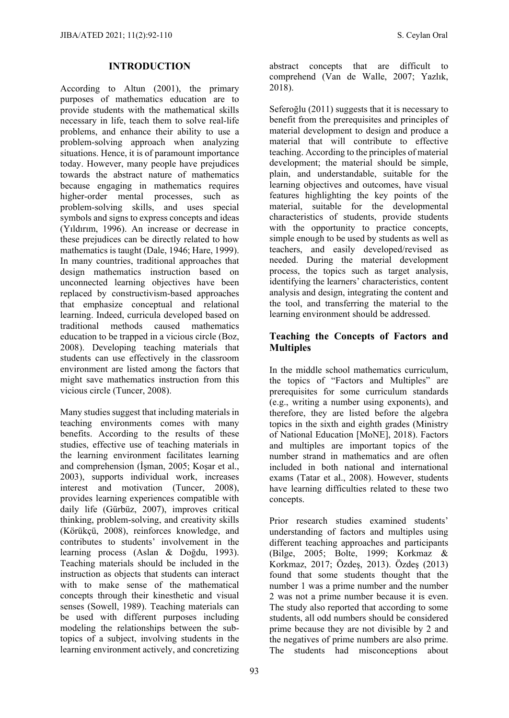#### **INTRODUCTION**

According to Altun (2001), the primary purposes of mathematics education are to provide students with the mathematical skills necessary in life, teach them to solve real-life problems, and enhance their ability to use a problem-solving approach when analyzing situations. Hence, it is of paramount importance today. However, many people have prejudices towards the abstract nature of mathematics because engaging in mathematics requires higher-order mental processes, such as problem-solving skills, and uses special symbols and signs to express concepts and ideas (Yıldırım, 1996). An increase or decrease in these prejudices can be directly related to how mathematics is taught (Dale, 1946; Hare, 1999). In many countries, traditional approaches that design mathematics instruction based on unconnected learning objectives have been replaced by constructivism-based approaches that emphasize conceptual and relational learning. Indeed, curricula developed based on traditional methods caused mathematics education to be trapped in a vicious circle (Boz, 2008). Developing teaching materials that students can use effectively in the classroom environment are listed among the factors that might save mathematics instruction from this vicious circle (Tuncer, 2008).

Many studies suggest that including materials in teaching environments comes with many benefits. According to the results of these studies, effective use of teaching materials in the learning environment facilitates learning and comprehension (İşman, 2005; Koşar et al., 2003), supports individual work, increases interest and motivation (Tuncer, 2008), provides learning experiences compatible with daily life (Gürbüz, 2007), improves critical thinking, problem-solving, and creativity skills (Körükçü, 2008), reinforces knowledge, and contributes to students' involvement in the learning process (Aslan & Doğdu, 1993). Teaching materials should be included in the instruction as objects that students can interact with to make sense of the mathematical concepts through their kinesthetic and visual senses (Sowell, 1989). Teaching materials can be used with different purposes including modeling the relationships between the subtopics of a subject, involving students in the learning environment actively, and concretizing abstract concepts that are difficult to comprehend (Van de Walle, 2007; Yazlık, 2018).

Seferoğlu (2011) suggests that it is necessary to benefit from the prerequisites and principles of material development to design and produce a material that will contribute to effective teaching. According to the principles of material development; the material should be simple, plain, and understandable, suitable for the learning objectives and outcomes, have visual features highlighting the key points of the material, suitable for the developmental characteristics of students, provide students with the opportunity to practice concepts, simple enough to be used by students as well as teachers, and easily developed/revised as needed. During the material development process, the topics such as target analysis, identifying the learners' characteristics, content analysis and design, integrating the content and the tool, and transferring the material to the learning environment should be addressed.

#### **Teaching the Concepts of Factors and Multiples**

In the middle school mathematics curriculum, the topics of "Factors and Multiples" are prerequisites for some curriculum standards (e.g., writing a number using exponents), and therefore, they are listed before the algebra topics in the sixth and eighth grades (Ministry of National Education [MoNE], 2018). Factors and multiples are important topics of the number strand in mathematics and are often included in both national and international exams (Tatar et al., 2008). However, students have learning difficulties related to these two concepts.

Prior research studies examined students' understanding of factors and multiples using different teaching approaches and participants (Bilge, 2005; Bolte, 1999; Korkmaz & Korkmaz, 2017; Özdeş, 2013). Özdeş (2013) found that some students thought that the number 1 was a prime number and the number 2 was not a prime number because it is even. The study also reported that according to some students, all odd numbers should be considered prime because they are not divisible by 2 and the negatives of prime numbers are also prime. The students had misconceptions about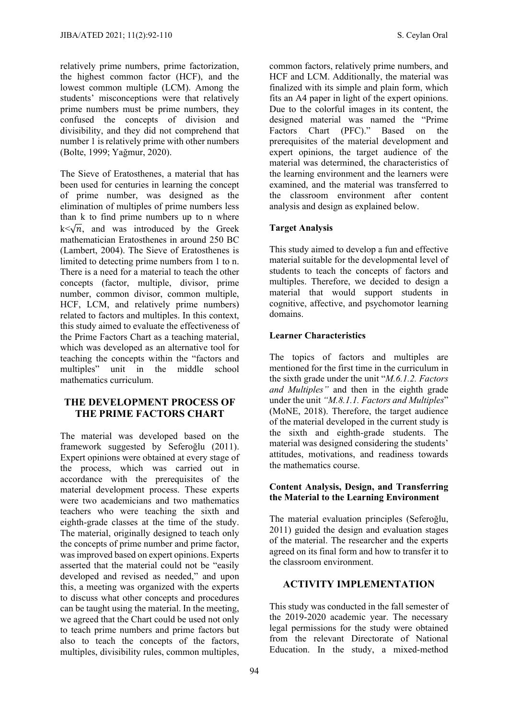relatively prime numbers, prime factorization, the highest common factor (HCF), and the lowest common multiple (LCM). Among the students' misconceptions were that relatively prime numbers must be prime numbers, they confused the concepts of division and divisibility, and they did not comprehend that number 1 is relatively prime with other numbers (Bolte, 1999; Yağmur, 2020).

The Sieve of Eratosthenes, a material that has been used for centuries in learning the concept of prime number, was designed as the elimination of multiples of prime numbers less than k to find prime numbers up to n where k  $\sqrt{n}$ , and was introduced by the Greek mathematician Eratosthenes in around 250 BC (Lambert, 2004). The Sieve of Eratosthenes is limited to detecting prime numbers from 1 to n. There is a need for a material to teach the other concepts (factor, multiple, divisor, prime number, common divisor, common multiple, HCF, LCM, and relatively prime numbers) related to factors and multiples. In this context, this study aimed to evaluate the effectiveness of the Prime Factors Chart as a teaching material, which was developed as an alternative tool for teaching the concepts within the "factors and<br>multiples" unit in the middle school unit in the middle school mathematics curriculum.

#### **THE DEVELOPMENT PROCESS OF THE PRIME FACTORS CHART**

The material was developed based on the framework suggested by Seferoğlu (2011). Expert opinions were obtained at every stage of the process, which was carried out in accordance with the prerequisites of the material development process. These experts were two academicians and two mathematics teachers who were teaching the sixth and eighth-grade classes at the time of the study. The material, originally designed to teach only the concepts of prime number and prime factor, was improved based on expert opinions. Experts asserted that the material could not be "easily developed and revised as needed," and upon this, a meeting was organized with the experts to discuss what other concepts and procedures can be taught using the material. In the meeting, we agreed that the Chart could be used not only to teach prime numbers and prime factors but also to teach the concepts of the factors, multiples, divisibility rules, common multiples,

common factors, relatively prime numbers, and HCF and LCM. Additionally, the material was finalized with its simple and plain form, which fits an A4 paper in light of the expert opinions. Due to the colorful images in its content, the designed material was named the "Prime Factors Chart (PFC)." Based on the prerequisites of the material development and expert opinions, the target audience of the material was determined, the characteristics of the learning environment and the learners were examined, and the material was transferred to the classroom environment after content analysis and design as explained below.

#### **Target Analysis**

This study aimed to develop a fun and effective material suitable for the developmental level of students to teach the concepts of factors and multiples. Therefore, we decided to design a material that would support students in cognitive, affective, and psychomotor learning domains.

#### **Learner Characteristics**

The topics of factors and multiples are mentioned for the first time in the curriculum in the sixth grade under the unit "*M.6.1.2. Factors and Multiples"* and then in the eighth grade under the unit *"M.8.1.1. Factors and Multiples*" (MoNE, 2018). Therefore, the target audience of the material developed in the current study is the sixth and eighth-grade students. The material was designed considering the students' attitudes, motivations, and readiness towards the mathematics course.

#### **Content Analysis, Design, and Transferring the Material to the Learning Environment**

The material evaluation principles (Seferoğlu, 2011) guided the design and evaluation stages of the material. The researcher and the experts agreed on its final form and how to transfer it to the classroom environment.

#### **ACTIVITY IMPLEMENTATION**

This study was conducted in the fall semester of the 2019-2020 academic year. The necessary legal permissions for the study were obtained from the relevant Directorate of National Education. In the study, a mixed-method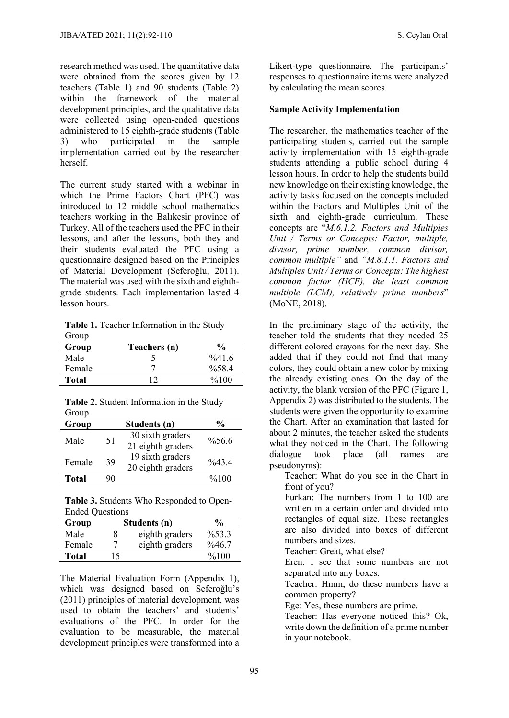research method was used. The quantitative data were obtained from the scores given by 12 teachers (Table 1) and 90 students (Table 2) within the framework of the material development principles, and the qualitative data were collected using open-ended questions administered to 15 eighth-grade students (Table 3) who participated in the sample implementation carried out by the researcher herself.

The current study started with a webinar in which the Prime Factors Chart (PFC) was introduced to 12 middle school mathematics teachers working in the Balıkesir province of Turkey. All of the teachers used the PFC in their lessons, and after the lessons, both they and their students evaluated the PFC using a questionnaire designed based on the Principles of Material Development (Seferoğlu, 2011). The material was used with the sixth and eighthgrade students. Each implementation lasted 4 lesson hours.

**Table 1.** Teacher Information in the Study Group

| Group  | Teachers (n) | $\frac{6}{9}$    |
|--------|--------------|------------------|
| Male   |              | $\frac{6}{41.6}$ |
| Female |              | $\%58.4$         |
| Total  |              | %100             |

|       | Table 2. Student Information in the Study |  |
|-------|-------------------------------------------|--|
| Group |                                           |  |

| Group  |    | Students (n)                          | %                  |
|--------|----|---------------------------------------|--------------------|
| Male   | 51 | 30 sixth graders<br>21 eighth graders | $\%56.6$           |
| Female | 39 | 19 sixth graders<br>20 eighth graders | $\frac{0}{6}$ 43.4 |
| Total  | 90 |                                       | %100               |

**Table 3.** Students Who Responded to Open-Ended Questions

| Group  |     | Students (n)   | $\frac{6}{9}$      |
|--------|-----|----------------|--------------------|
| Male   |     | eighth graders | $\frac{9}{6}$ 53.3 |
| Female |     | eighth graders | $\%46.7$           |
| Total  | ' 5 |                | $\frac{6}{100}$    |

The Material Evaluation Form (Appendix 1), which was designed based on Seferoğlu's (2011) principles of material development, was used to obtain the teachers' and students' evaluations of the PFC. In order for the evaluation to be measurable, the material development principles were transformed into a Likert-type questionnaire. The participants' responses to questionnaire items were analyzed by calculating the mean scores.

#### **Sample Activity Implementation**

The researcher, the mathematics teacher of the participating students, carried out the sample activity implementation with 15 eighth-grade students attending a public school during 4 lesson hours. In order to help the students build new knowledge on their existing knowledge, the activity tasks focused on the concepts included within the Factors and Multiples Unit of the sixth and eighth-grade curriculum. These concepts are "*M.6.1.2. Factors and Multiples Unit / Terms or Concepts: Factor, multiple, divisor, prime number, common divisor, common multiple"* and *"M.8.1.1. Factors and Multiples Unit / Terms or Concepts: The highest common factor (HCF), the least common multiple (LCM), relatively prime numbers*" (MoNE, 2018).

In the preliminary stage of the activity, the teacher told the students that they needed 25 different colored crayons for the next day. She added that if they could not find that many colors, they could obtain a new color by mixing the already existing ones. On the day of the activity, the blank version of the PFC (Figure 1, Appendix 2) was distributed to the students. The students were given the opportunity to examine the Chart. After an examination that lasted for about 2 minutes, the teacher asked the students what they noticed in the Chart. The following dialogue took place (all names are pseudonyms):

Teacher: What do you see in the Chart in front of you?

Furkan: The numbers from 1 to 100 are written in a certain order and divided into rectangles of equal size. These rectangles are also divided into boxes of different numbers and sizes.

Teacher: Great, what else?

Eren: I see that some numbers are not separated into any boxes.

Teacher: Hmm, do these numbers have a common property?

Ege: Yes, these numbers are prime.

Teacher: Has everyone noticed this? Ok, write down the definition of a prime number in your notebook.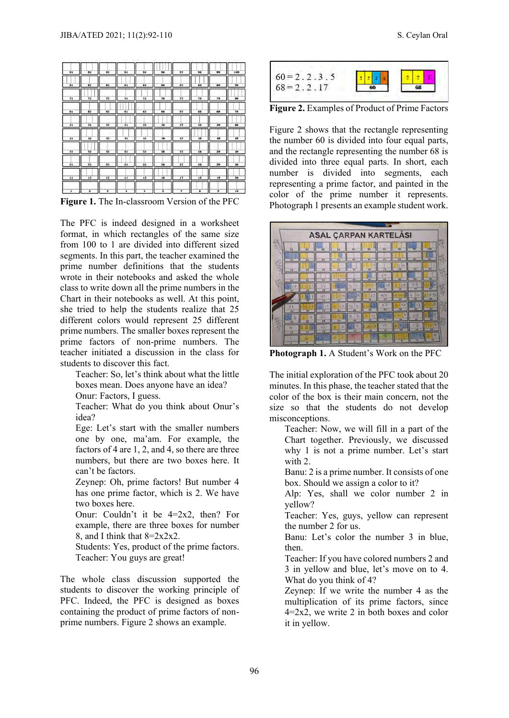| 91            | 92           | 92 | 94 | 95 | 96 | 97   | 98 | 99 | 100 |
|---------------|--------------|----|----|----|----|------|----|----|-----|
| 81            | 82           | 83 | 84 | 85 | 86 | 87   | 88 | 89 | 90  |
| 71            | 72           | 73 | 74 | 75 | 76 | 77   | 78 | 79 | 20  |
| 61            | 62           | 63 | 64 | 65 | 66 | 67   | 68 | 69 | 70  |
| 51            | 32           | 33 | 54 | 55 | 56 | 57   | 38 | 59 | 60  |
| 41            | 12           | 43 | 44 | 45 | 16 | $+7$ | 48 | 49 | 30  |
| 31            | 32           | 33 | 34 | 35 | 36 | 37   | 38 | 39 | 40  |
| 21            | 22           | 22 | 24 | 25 | 26 | 27   | 28 | 29 | 30  |
| $\mathbf{11}$ | 12           | 13 | 14 | 15 | 16 | 17   | 18 | 19 | 20  |
| ٠             | $\mathbf{z}$ | ı  | 4  | 3  | 6  | 7    | a  | 9  | 10  |

**Figure 1.** The In-classroom Version of the PFC

The PFC is indeed designed in a worksheet format, in which rectangles of the same size from 100 to 1 are divided into different sized segments. In this part, the teacher examined the prime number definitions that the students wrote in their notebooks and asked the whole class to write down all the prime numbers in the Chart in their notebooks as well. At this point, she tried to help the students realize that 25 different colors would represent 25 different prime numbers. The smaller boxes represent the prime factors of non-prime numbers. The teacher initiated a discussion in the class for students to discover this fact.

Teacher: So, let's think about what the little boxes mean. Does anyone have an idea? Onur: Factors, I guess.

Teacher: What do you think about Onur's idea?

Ege: Let's start with the smaller numbers one by one, ma'am. For example, the factors of 4 are 1, 2, and 4, so there are three numbers, but there are two boxes here. It can't be factors.

Zeynep: Oh, prime factors! But number 4 has one prime factor, which is 2. We have two boxes here.

Onur: Couldn't it be 4=2x2, then? For example, there are three boxes for number 8, and I think that 8=2x2x2.

Students: Yes, product of the prime factors. Teacher: You guys are great!

The whole class discussion supported the students to discover the working principle of PFC. Indeed, the PFC is designed as boxes containing the product of prime factors of nonprime numbers. Figure 2 shows an example.



**Figure 2.** Examples of Product of Prime Factors

Figure 2 shows that the rectangle representing the number 60 is divided into four equal parts, and the rectangle representing the number 68 is divided into three equal parts. In short, each number is divided into segments, each representing a prime factor, and painted in the color of the prime number it represents. Photograph 1 presents an example student work.



**Photograph 1.** A Student's Work on the PFC

The initial exploration of the PFC took about 20 minutes. In this phase, the teacher stated that the color of the box is their main concern, not the size so that the students do not develop misconceptions.

Teacher: Now, we will fill in a part of the Chart together. Previously, we discussed why 1 is not a prime number. Let's start with 2.

Banu: 2 is a prime number. It consists of one box. Should we assign a color to it?

Alp: Yes, shall we color number 2 in yellow?

Teacher: Yes, guys, yellow can represent the number 2 for us.

Banu: Let's color the number 3 in blue, then.

Teacher: If you have colored numbers 2 and 3 in yellow and blue, let's move on to 4. What do you think of 4?

Zeynep: If we write the number 4 as the multiplication of its prime factors, since  $4=2x^2$ , we write 2 in both boxes and color it in yellow.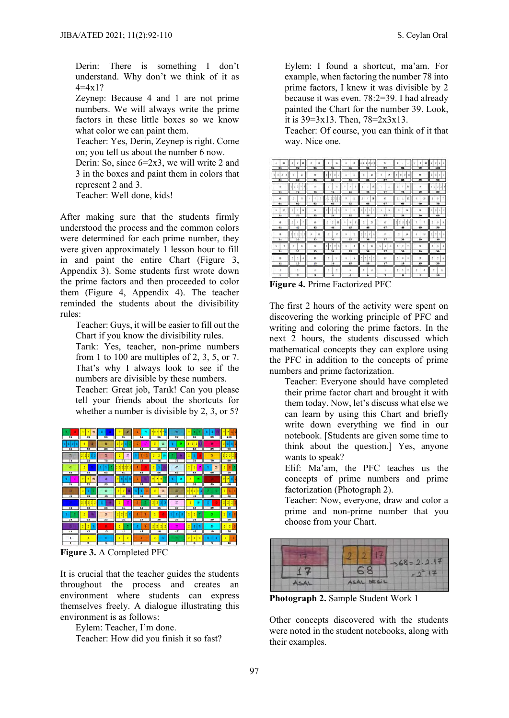Derin: There is something I don't understand. Why don't we think of it as  $4=4x1?$ 

Zeynep: Because 4 and 1 are not prime numbers. We will always write the prime factors in these little boxes so we know what color we can paint them.

Teacher: Yes, Derin, Zeynep is right. Come on; you tell us about the number 6 now.

Derin: So, since 6=2x3, we will write 2 and 3 in the boxes and paint them in colors that represent 2 and 3.

Teacher: Well done, kids!

After making sure that the students firmly understood the process and the common colors were determined for each prime number, they were given approximately 1 lesson hour to fill in and paint the entire Chart (Figure 3, Appendix 3). Some students first wrote down the prime factors and then proceeded to color them (Figure 4, Appendix 4). The teacher reminded the students about the divisibility rules:

Teacher: Guys, it will be easier to fill out the Chart if you know the divisibility rules.

Tarık: Yes, teacher, non-prime numbers from 1 to 100 are multiples of 2, 3, 5, or 7. That's why I always look to see if the numbers are divisible by these numbers.

Teacher: Great job, Tarık! Can you please tell your friends about the shortcuts for whether a number is divisible by 2, 3, or 5?



**Figure 3.** A Completed PFC

It is crucial that the teacher guides the students throughout the process and creates an environment where students can express themselves freely. A dialogue illustrating this environment is as follows:

Eylem: Teacher, I'm done.

Teacher: How did you finish it so fast?

Eylem: I found a shortcut, ma'am. For example, when factoring the number 78 into prime factors, I knew it was divisible by 2 because it was even. 78:2=39. I had already painted the Chart for the number 39. Look, it is  $39=3x13$ . Then,  $78=2x3x13$ .

Teacher: Of course, you can think of it that way. Nice one.

|               | ES.                      | ٠ | $\overline{z}$<br>3                  |                         | $\mathbf{1}$ |          |                   |   | 18                      |              |                                          | 97              | ž.                       |                      |              | $\mathbf x$  | п | z. |                         |  |
|---------------|--------------------------|---|--------------------------------------|-------------------------|--------------|----------|-------------------|---|-------------------------|--------------|------------------------------------------|-----------------|--------------------------|----------------------|--------------|--------------|---|----|-------------------------|--|
|               | 91                       |   | 92                                   | 93                      |              |          | 94                |   | 95                      |              | 96                                       | 97              |                          | 98                   |              | 99           |   |    | 100                     |  |
| $\mathcal{Z}$ | x                        |   | n                                    | $\mathbf{x}$            |              | $\Delta$ | $\mathbf{3}$      | 5 | E.                      |              | B.                                       | ×               |                          | ×.<br>$\overline{z}$ | H            | $\mathbf{H}$ |   | ž. | 3                       |  |
|               | 81                       |   | 82                                   | 83                      |              |          | 84                |   | 85                      |              | 86                                       | 87              |                          | 88                   |              | 89           |   |    | 90                      |  |
|               | $\mathbf{a}$             |   | $\mathbb{R}$<br>$\ddot{\phantom{a}}$ | $\overline{a}$          |              |          | s.                |   | $\overline{3}$<br>×,    |              | $\mathbf{p}$<br>$\overline{\phantom{a}}$ | it              | ł                        |                      | $\mathbf{B}$ | ы            |   | t  | 2                       |  |
|               | 71                       |   | 72                                   | 73                      |              |          | 74                |   | 75                      |              | 76                                       | 77              |                          | 78                   |              | 79           |   |    | 80                      |  |
|               | $\mathbf{a}$             |   | $\mathbf{u}$                         |                         |              | ž        | ď                 |   | n                       |              | $\mathbf{u}$<br>3.                       | 67              | $\overline{2}$           |                      | n            | 匆            |   |    | 5                       |  |
|               | 61                       |   | 62                                   | 63                      |              |          | 64                |   | 6.5                     |              | 66                                       | 67              |                          | 68                   |              | 69           |   |    | 70                      |  |
| 3             | к                        |   | n<br>$\overline{z}$                  | $\overline{\mathbf{3}}$ |              |          | l s               |   | $\mathbf{H}$            | $\mathbf{z}$ | z.                                       | 19              | ÷                        |                      | $\mathbf{z}$ | 54           |   |    | 213                     |  |
|               | 51                       |   | 52                                   | 53                      |              |          | 54                |   | 55                      |              | 36                                       | 37              |                          | 58                   |              | 59           |   |    | 60                      |  |
|               | 4                        | ٠ | $\mathbf{R}$                         |                         |              |          | x<br>$\mathbf{n}$ | 1 | $\overline{\mathbf{3}}$ | s.           | $\dot{2}$                                | £.              | $\overline{\phantom{a}}$ | ÷.                   | 21           |              |   |    | $\overline{\mathbf{s}}$ |  |
|               | $+1$                     |   | 42                                   | 43                      |              |          | $\overline{11}$   |   | 45                      |              | 46                                       | 47              |                          | 48                   |              | 49           |   |    | 50                      |  |
|               | $\mathfrak{A}$           |   | ž<br>z.<br>ы                         |                         | $\mathbf{u}$ |          | Ħ                 |   | ţ                       | 2.1<br>٠     | $\mathcal{I}$<br>3                       | $\overline{37}$ |                          |                      | 19           | в            |   | ÷. | $\overline{a}$          |  |
|               | 31                       |   | 32                                   | 33                      |              |          | 34                |   | 35                      |              | 36                                       | 37              |                          | 38                   |              | 39           |   |    | 40                      |  |
|               |                          |   | $\mathbf{u}$                         | $\overline{a}$          |              | ž        | ž                 |   |                         |              | n                                        | s,              | ž.                       |                      | т            | ×            |   | ٠  | 3                       |  |
|               | $\overline{\mathbf{21}}$ |   | $\overline{22}$                      | 23                      |              |          | 24                |   | 25                      |              | 26                                       | 27              |                          | 28                   |              | 29           |   |    | 30                      |  |
|               | n                        | ٠ | $\cdot$ 2                            | B                       |              |          |                   |   |                         | ×            | 211<br>٠                                 | 17              | ÷                        |                      |              | $\mathbf{B}$ |   |    | $\overline{z}$          |  |
|               | n                        |   | 12                                   | 13                      |              |          | 14                |   | 15                      |              | 16                                       | 17              |                          | 18                   |              | 19           |   |    | 20                      |  |
|               |                          |   |                                      |                         |              |          |                   |   |                         |              |                                          |                 | ž                        |                      |              |              |   |    |                         |  |
|               |                          |   | Ξ                                    | з                       |              |          |                   |   |                         |              |                                          |                 |                          |                      |              |              |   |    | 10                      |  |

**Figure 4.** Prime Factorized PFC

The first 2 hours of the activity were spent on discovering the working principle of PFC and writing and coloring the prime factors. In the next 2 hours, the students discussed which mathematical concepts they can explore using the PFC in addition to the concepts of prime numbers and prime factorization.

Teacher: Everyone should have completed their prime factor chart and brought it with them today. Now, let's discuss what else we can learn by using this Chart and briefly write down everything we find in our notebook. [Students are given some time to think about the question.] Yes, anyone wants to speak?

Elif: Ma'am, the PFC teaches us the concepts of prime numbers and prime factorization (Photograph 2).

Teacher: Now, everyone, draw and color a prime and non-prime number that you choose from your Chart.



**Photograph 2.** Sample Student Work 1

Other concepts discovered with the students were noted in the student notebooks, along with their examples.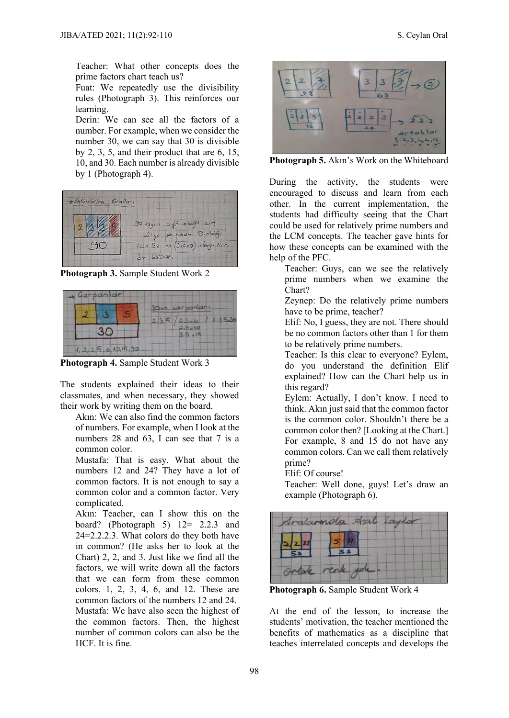Teacher: What other concepts does the prime factors chart teach us?

Fuat: We repeatedly use the divisibility rules (Photograph 3). This reinforces our learning.

Derin: We can see all the factors of a number. For example, when we consider the number 30, we can say that 30 is divisible by 2, 3, 5, and their product that are 6, 15, 10, and 30. Each number is already divisible by 1 (Photograph 4).



**Photograph 3.** Sample Student Work 2



**Photograph 4.** Sample Student Work 3

The students explained their ideas to their classmates, and when necessary, they showed their work by writing them on the board.

Akın: We can also find the common factors of numbers. For example, when I look at the numbers 28 and 63, I can see that 7 is a common color.

Mustafa: That is easy. What about the numbers 12 and 24? They have a lot of common factors. It is not enough to say a common color and a common factor. Very complicated.

Akın: Teacher, can I show this on the board? (Photograph 5) 12= 2.2.3 and 24=2.2.2.3. What colors do they both have in common? (He asks her to look at the Chart) 2, 2, and 3. Just like we find all the factors, we will write down all the factors that we can form from these common colors. 1, 2, 3, 4, 6, and 12. These are common factors of the numbers 12 and 24. Mustafa: We have also seen the highest of the common factors. Then, the highest number of common colors can also be the HCF. It is fine.



**Photograph 5.** Akın's Work on the Whiteboard

During the activity, the students were encouraged to discuss and learn from each other. In the current implementation, the students had difficulty seeing that the Chart could be used for relatively prime numbers and the LCM concepts. The teacher gave hints for how these concepts can be examined with the help of the PFC.

Teacher: Guys, can we see the relatively prime numbers when we examine the Chart?

Zeynep: Do the relatively prime numbers have to be prime, teacher?

Elif: No, I guess, they are not. There should be no common factors other than 1 for them to be relatively prime numbers.

Teacher: Is this clear to everyone? Eylem, do you understand the definition Elif explained? How can the Chart help us in this regard?

Eylem: Actually, I don't know. I need to think. Akın just said that the common factor is the common color. Shouldn't there be a common color then? [Looking at the Chart.] For example, 8 and 15 do not have any common colors. Can we call them relatively prime?

Elif: Of course!

Teacher: Well done, guys! Let's draw an example (Photograph 6).



**Photograph 6.** Sample Student Work 4

At the end of the lesson, to increase the students' motivation, the teacher mentioned the benefits of mathematics as a discipline that teaches interrelated concepts and develops the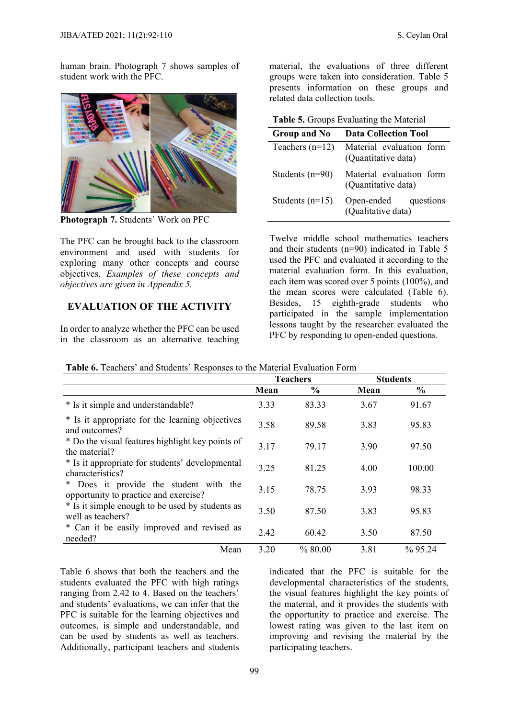human brain. Photograph 7 shows samples of student work with the PFC.



**Photograph 7.** Students' Work on PFC

The PFC can be brought back to the classroom environment and used with students for exploring many other concepts and course objectives. *Examples of these concepts and objectives are given in Appendix 5.*

#### **EVALUATION OF THE ACTIVITY**

In order to analyze whether the PFC can be used in the classroom as an alternative teaching material, the evaluations of three different groups were taken into consideration. Table 5 presents information on these groups and related data collection tools.

**Table 5.** Groups Evaluating the Material

| Group and No      | <b>Data Collection Tool</b>                     |
|-------------------|-------------------------------------------------|
| Teachers $(n=12)$ | Material evaluation form<br>(Quantitative data) |
| Students $(n=90)$ | Material evaluation form<br>(Quantitative data) |
| Students $(n=15)$ | Open-ended questions<br>(Qualitative data)      |

Twelve middle school mathematics teachers and their students (n=90) indicated in Table 5 used the PFC and evaluated it according to the material evaluation form. In this evaluation, each item was scored over 5 points (100%), and the mean scores were calculated (Table 6). Besides, 15 eighth-grade students who participated in the sample implementation lessons taught by the researcher evaluated the PFC by responding to open-ended questions.

|                                                                                 |      | <b>Teachers</b> | <b>Students</b> |            |  |
|---------------------------------------------------------------------------------|------|-----------------|-----------------|------------|--|
|                                                                                 | Mean | $\frac{0}{0}$   | Mean            | $\%$       |  |
| * Is it simple and understandable?                                              | 3.33 | 83.33           | 3.67            | 91.67      |  |
| * Is it appropriate for the learning objectives<br>and outcomes?                | 3.58 | 89.58           | 3.83            | 95.83      |  |
| * Do the visual features highlight key points of<br>the material?               | 3.17 | 79.17           | 3.90            | 97.50      |  |
| * Is it appropriate for students' developmental<br>characteristics?             | 3.25 | 81.25           | 4.00            | 100.00     |  |
| * Does it provide the student with the<br>opportunity to practice and exercise? | 3.15 | 78.75           | 3.93            | 98.33      |  |
| * Is it simple enough to be used by students as<br>well as teachers?            | 3.50 | 87.50           | 3.83            | 95.83      |  |
| * Can it be easily improved and revised as<br>needed?                           | 2.42 | 60.42           | 3.50            | 87.50      |  |
| Mean                                                                            | 3.20 | % 80.00         | 3.81            | $\%$ 95.24 |  |

**Table 6.** Teachers' and Students' Responses to the Material Evaluation Form

Table 6 shows that both the teachers and the students evaluated the PFC with high ratings ranging from 2.42 to 4. Based on the teachers' and students' evaluations, we can infer that the PFC is suitable for the learning objectives and outcomes, is simple and understandable, and can be used by students as well as teachers. Additionally, participant teachers and students indicated that the PFC is suitable for the developmental characteristics of the students, the visual features highlight the key points of the material, and it provides the students with the opportunity to practice and exercise. The lowest rating was given to the last item on improving and revising the material by the participating teachers.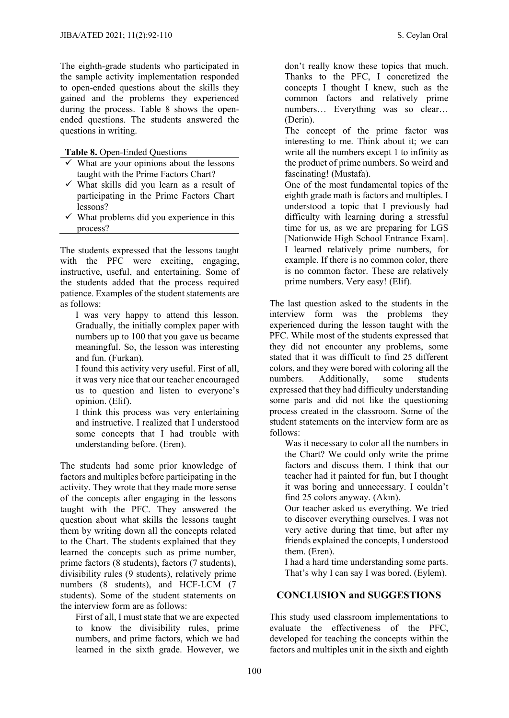The eighth-grade students who participated in the sample activity implementation responded to open-ended questions about the skills they gained and the problems they experienced during the process. Table 8 shows the openended questions. The students answered the questions in writing.

**Table 8.** Open-Ended Questions

- $\checkmark$  What are your opinions about the lessons taught with the Prime Factors Chart?
- $\checkmark$  What skills did you learn as a result of participating in the Prime Factors Chart lessons?
- $\checkmark$  What problems did you experience in this process?

The students expressed that the lessons taught with the PFC were exciting, engaging, instructive, useful, and entertaining. Some of the students added that the process required patience. Examples of the student statements are as follows:

I was very happy to attend this lesson. Gradually, the initially complex paper with numbers up to 100 that you gave us became meaningful. So, the lesson was interesting and fun. (Furkan).

I found this activity very useful. First of all, it was very nice that our teacher encouraged us to question and listen to everyone's opinion. (Elif).

I think this process was very entertaining and instructive. I realized that I understood some concepts that I had trouble with understanding before. (Eren).

The students had some prior knowledge of factors and multiples before participating in the activity. They wrote that they made more sense of the concepts after engaging in the lessons taught with the PFC. They answered the question about what skills the lessons taught them by writing down all the concepts related to the Chart. The students explained that they learned the concepts such as prime number, prime factors (8 students), factors (7 students), divisibility rules (9 students), relatively prime numbers (8 students), and HCF-LCM (7 students). Some of the student statements on the interview form are as follows:

First of all, I must state that we are expected to know the divisibility rules, prime numbers, and prime factors, which we had learned in the sixth grade. However, we don't really know these topics that much. Thanks to the PFC, I concretized the concepts I thought I knew, such as the common factors and relatively prime numbers... Everything was so clear... (Derin).

The concept of the prime factor was interesting to me. Think about it; we can write all the numbers except 1 to infinity as the product of prime numbers. So weird and fascinating! (Mustafa).

One of the most fundamental topics of the eighth grade math is factors and multiples. I understood a topic that I previously had difficulty with learning during a stressful time for us, as we are preparing for LGS [Nationwide High School Entrance Exam]. I learned relatively prime numbers, for example. If there is no common color, there is no common factor. These are relatively prime numbers. Very easy! (Elif).

The last question asked to the students in the interview form was the problems they experienced during the lesson taught with the PFC. While most of the students expressed that they did not encounter any problems, some stated that it was difficult to find 25 different colors, and they were bored with coloring all the numbers. Additionally, some students expressed that they had difficulty understanding some parts and did not like the questioning process created in the classroom. Some of the student statements on the interview form are as follows:

Was it necessary to color all the numbers in the Chart? We could only write the prime factors and discuss them. I think that our teacher had it painted for fun, but I thought it was boring and unnecessary. I couldn't find 25 colors anyway. (Akın).

Our teacher asked us everything. We tried to discover everything ourselves. I was not very active during that time, but after my friends explained the concepts, I understood them. (Eren).

I had a hard time understanding some parts. That's why I can say I was bored. (Eylem).

#### **CONCLUSION and SUGGESTIONS**

This study used classroom implementations to evaluate the effectiveness of the PFC, developed for teaching the concepts within the factors and multiples unit in the sixth and eighth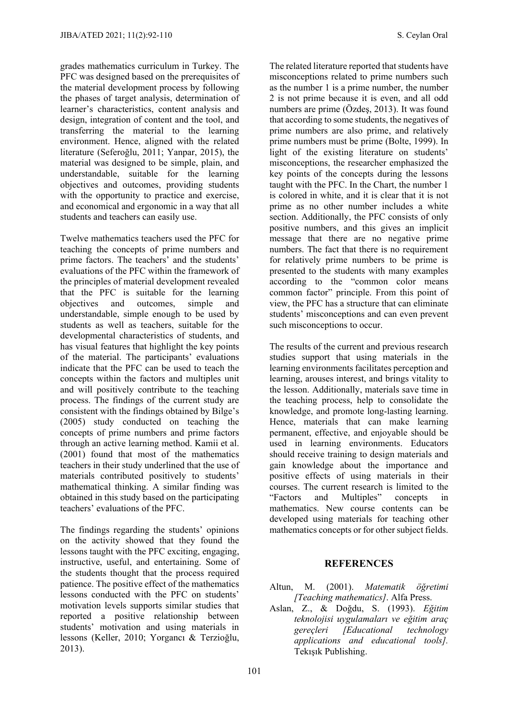grades mathematics curriculum in Turkey. The PFC was designed based on the prerequisites of the material development process by following the phases of target analysis, determination of learner's characteristics, content analysis and design, integration of content and the tool, and transferring the material to the learning environment. Hence, aligned with the related literature (Seferoğlu, 2011; Yanpar, 2015), the material was designed to be simple, plain, and understandable, suitable for the learning objectives and outcomes, providing students with the opportunity to practice and exercise, and economical and ergonomic in a way that all students and teachers can easily use.

Twelve mathematics teachers used the PFC for teaching the concepts of prime numbers and prime factors. The teachers' and the students' evaluations of the PFC within the framework of the principles of material development revealed that the PFC is suitable for the learning objectives and outcomes, simple and understandable, simple enough to be used by students as well as teachers, suitable for the developmental characteristics of students, and has visual features that highlight the key points of the material. The participants' evaluations indicate that the PFC can be used to teach the concepts within the factors and multiples unit and will positively contribute to the teaching process. The findings of the current study are consistent with the findings obtained by Bilge's (2005) study conducted on teaching the concepts of prime numbers and prime factors through an active learning method. Kamii et al. (2001) found that most of the mathematics teachers in their study underlined that the use of materials contributed positively to students' mathematical thinking. A similar finding was obtained in this study based on the participating teachers' evaluations of the PFC.

The findings regarding the students' opinions on the activity showed that they found the lessons taught with the PFC exciting, engaging, instructive, useful, and entertaining. Some of the students thought that the process required patience. The positive effect of the mathematics lessons conducted with the PFC on students' motivation levels supports similar studies that reported a positive relationship between students' motivation and using materials in lessons (Keller, 2010; Yorgancı & Terzioğlu, 2013).

The related literature reported that students have misconceptions related to prime numbers such as the number 1 is a prime number, the number 2 is not prime because it is even, and all odd numbers are prime (Özdeş, 2013). It was found that according to some students, the negatives of prime numbers are also prime, and relatively prime numbers must be prime (Bolte, 1999). In light of the existing literature on students' misconceptions, the researcher emphasized the key points of the concepts during the lessons taught with the PFC. In the Chart, the number 1 is colored in white, and it is clear that it is not prime as no other number includes a white section. Additionally, the PFC consists of only positive numbers, and this gives an implicit message that there are no negative prime numbers. The fact that there is no requirement for relatively prime numbers to be prime is presented to the students with many examples according to the "common color means common factor" principle. From this point of view, the PFC has a structure that can eliminate students' misconceptions and can even prevent such misconceptions to occur.

The results of the current and previous research studies support that using materials in the learning environments facilitates perception and learning, arouses interest, and brings vitality to the lesson. Additionally, materials save time in the teaching process, help to consolidate the knowledge, and promote long-lasting learning. Hence, materials that can make learning permanent, effective, and enjoyable should be used in learning environments. Educators should receive training to design materials and gain knowledge about the importance and positive effects of using materials in their courses. The current research is limited to the "Factors and Multiples" concepts in mathematics. New course contents can be developed using materials for teaching other mathematics concepts or for other subject fields.

#### **REFERENCES**

- Altun, M. (2001). *Matematik öğretimi [Teaching mathematics]*. Alfa Press.
- Aslan, Z., & Doğdu, S. (1993). *Eğitim teknolojisi uygulamaları ve eğitim araç gereçleri [Educational technology applications and educational tools].* Tekışık Publishing.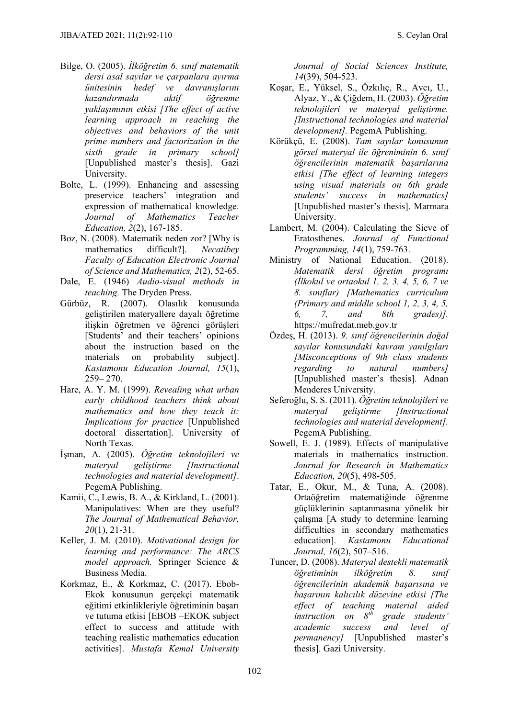- Bilge, O. (2005). *İlköğretim 6. sınıf matematik dersi asal sayılar ve çarpanlara ayırma ünitesinin hedef ve davranışlarını kazandırmada aktif öğrenme yaklaşımının etkisi [The effect of active learning approach in reaching the objectives and behaviors of the unit prime numbers and factorization in the sixth grade in primary school]* [Unpublished master's thesis]. Gazi University.
- Bolte, L. (1999). Enhancing and assessing preservice teachers' integration and expression of mathematical knowledge. *Journal of Mathematics Teacher Education, 2*(2), 167-185.
- Boz, N. (2008). Matematik neden zor? [Why is mathematics difficult?]. *Necatibey Faculty of Education Electronic Journal of Science and Mathematics, 2*(2), 52-65.
- Dale, E. (1946) *Audio-visual methods in teaching.* The Dryden Press.
- Gürbüz, R. (2007). Olasılık konusunda geliştirilen materyallere dayalı öğretime ilişkin öğretmen ve öğrenci görüşleri [Students' and their teachers' opinions about the instruction based on the materials on probability subject]. *Kastamonu Education Journal, 15*(1), 259– 270.
- Hare, A. Y. M. (1999). *Revealing what urban early childhood teachers think about mathematics and how they teach it: Implications for practice* [Unpublished doctoral dissertation]. University of North Texas.
- İşman, A. (2005). *Öğretim teknolojileri ve materyal geliştirme [Instructional technologies and material development]*. PegemA Publishing.
- Kamii, C., Lewis, B. A., & Kirkland, L. (2001). Manipulatives: When are they useful? *The Journal of Mathematical Behavior, 20*(1), 21-31.
- Keller, J. M. (2010). *Motivational design for learning and performance: The ARCS model approach.* Springer Science & Business Media.
- Korkmaz, E., & Korkmaz, C. (2017). Ebob-Ekok konusunun gerçekçi matematik eğitimi etkinlikleriyle öğretiminin başarı ve tutuma etkisi [EBOB –EKOK subject effect to success and attitude with teaching realistic mathematics education activities]. *Mustafa Kemal University*

*Journal of Social Sciences Institute, 14*(39), 504-523.

- Koşar, E., Yüksel, S., Özkılıç, R., Avcı, U., Alyaz, Y., & Çiğdem, H. (2003). *Öğretim teknolojileri ve materyal geliştirme. [Instructional technologies and material development].* PegemA Publishing.
- Körükçü, E. (2008). *Tam sayılar konusunun görsel materyal ile öğreniminin 6. sınıf öğrencilerinin matematik başarılarına etkisi [The effect of learning integers using visual materials on 6th grade students' success in mathematics]* [Unpublished master's thesis]. Marmara University.
- Lambert, M. (2004). Calculating the Sieve of Eratosthenes. *Journal of Functional Programming, 14*(1), 759-763.
- Ministry of National Education. (2018). *Matematik dersi öğretim programı (İlkokul ve ortaokul 1, 2, 3, 4, 5, 6, 7 ve 8. sınıflar) [Mathematics curriculum (Primary and middle school 1, 2, 3, 4, 5, 6, 7, and 8th grades)].* https://mufredat.meb.gov.tr
- Özdeş, H. (2013). *9. sınıf öğrencilerinin doğal sayılar konusundaki kavram yanılgıları [Misconceptions of 9th class students regarding to natural numbers]* [Unpublished master's thesis]. Adnan Menderes University.
- Seferoğlu, S. S. (2011). *Öğretim teknolojileri ve materyal geliştirme [Instructional technologies and material development].*  PegemA Publishing.
- Sowell, E. J. (1989). Effects of manipulative materials in mathematics instruction. *Journal for Research in Mathematics Education, 20*(5), 498-505.
- Tatar, E., Okur, M., & Tuna, A. (2008). Ortaöğretim matematiğinde öğrenme güçlüklerinin saptanmasına yönelik bir çalışma [A study to determine learning difficulties in secondary mathematics education]. *Kastamonu Educational Journal, 16*(2), 507–516.
- Tuncer, D. (2008). *Materyal destekli matematik öğretiminin ilköğretim 8. sınıf öğrencilerinin akademik başarısına ve başarının kalıcılık düzeyine etkisi [The effect of teaching material aided instruction on 8th grade students' academic success and level of permanency]* [Unpublished master's thesis]. Gazi University.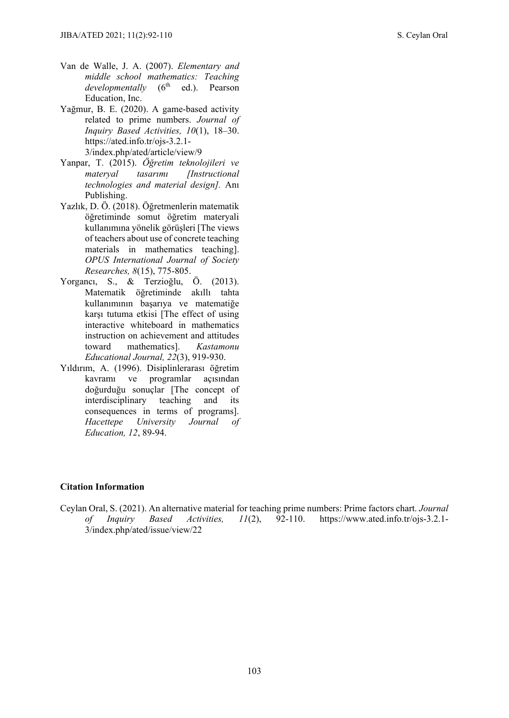- Van de Walle, J. A. (2007). *Elementary and middle school mathematics: Teaching developmentally* (6<sup>th</sup> ed.). Pearson Education, Inc.
- Yağmur, B. E. (2020). A game-based activity related to prime numbers. *Journal of Inquiry Based Activities, 10*(1), 18–30. https://ated.info.tr/ojs-3.2.1- 3/index.php/ated/article/view/9
- Yanpar, T. (2015). *Öğretim teknolojileri ve materyal tasarımı [Instructional technologies and material design].* Anı Publishing.
- Yazlık, D. Ö. (2018). Öğretmenlerin matematik öğretiminde somut öğretim materyali kullanımına yönelik görüşleri [The views of teachers about use of concrete teaching materials in mathematics teaching]. *OPUS International Journal of Society Researches, 8*(15), 775-805.
- Yorgancı, S., & Terzioğlu, Ö. (2013). Matematik öğretiminde akıllı tahta kullanımının başarıya ve matematiğe karşı tutuma etkisi [The effect of using interactive whiteboard in mathematics instruction on achievement and attitudes toward mathematics]. *Kastamonu Educational Journal, 22*(3), 919-930.
- Yıldırım, A. (1996). Disiplinlerarası öğretim kavramı ve programlar açısından doğurduğu sonuçlar [The concept of interdisciplinary teaching and its consequences in terms of programs]. *Hacettepe University Journal of Education, 12*, 89-94.

#### **Citation Information**

Ceylan Oral, S. (2021). An alternative material for teaching prime numbers: Prime factors chart. *Journal of Inquiry Based Activities, 11*(2), 92-110. https://www.ated.info.tr/ojs-3.2.1- 3/index.php/ated/issue/view/22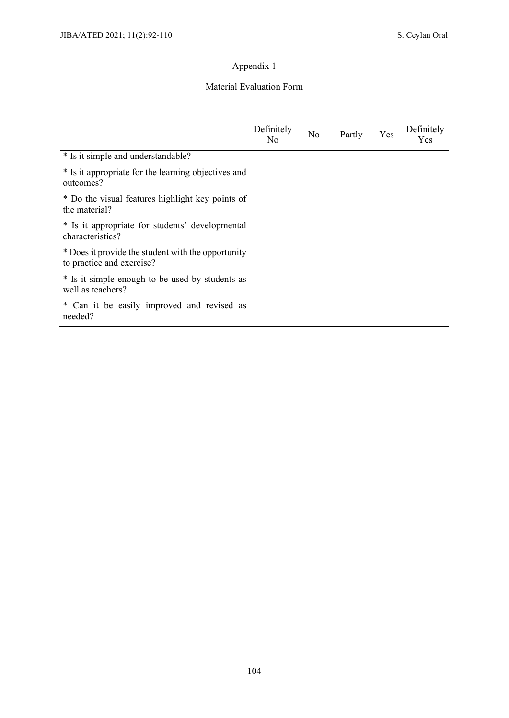#### Material Evaluation Form

|                                                                                 | Definitely<br>N <sub>0</sub> | N <sub>o</sub> | Partly | Yes | Definitely<br>Yes |
|---------------------------------------------------------------------------------|------------------------------|----------------|--------|-----|-------------------|
| * Is it simple and understandable?                                              |                              |                |        |     |                   |
| * Is it appropriate for the learning objectives and<br>outcomes?                |                              |                |        |     |                   |
| * Do the visual features highlight key points of<br>the material?               |                              |                |        |     |                   |
| * Is it appropriate for students' developmental<br>characteristics?             |                              |                |        |     |                   |
| * Does it provide the student with the opportunity<br>to practice and exercise? |                              |                |        |     |                   |
| * Is it simple enough to be used by students as<br>well as teachers?            |                              |                |        |     |                   |
| * Can it be easily improved and revised as<br>needed?                           |                              |                |        |     |                   |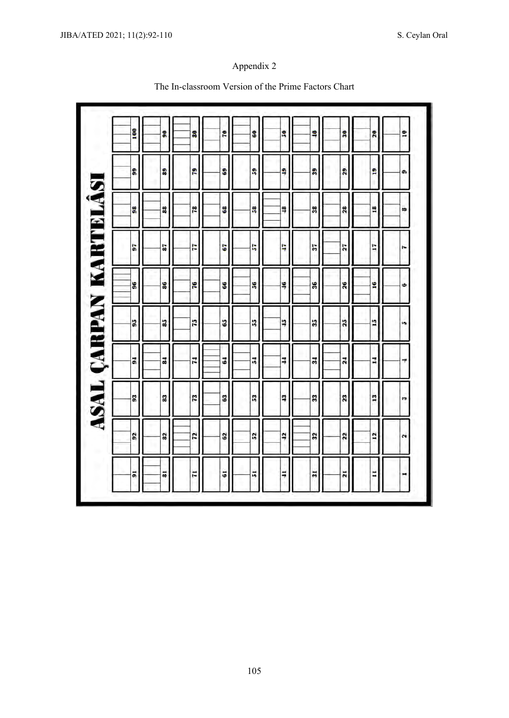#### 100 GO. 80 P. 30  $\overline{\mathbf{a}}$ 10  $\frac{1}{2}$  $\overline{\phantom{0}}$  $\overline{\mathbf{5}}$ 89 29 29 29 9  $\mathbf{\hat{s}}$ ş s  $39$ e ASAL ÇARPAN KARTELÂSI 78 88 g  $\frac{1}{2}$ 28 18 38 m 38 89  $\overline{5}$ 87 F 67 r, Ę.  $37$ 27 17 'n.  $\frac{1}{2}$ 86 91 **S** 86  $\overline{\mathbf{s}}$ ş  $36$  $\mathbf{26}$ ٠ 75  $65$ 55 17 85 25 ï 95  $3\overline{5}$ 'n 18 74  $\overline{5}$  $\mathbf{r}$  $\mathbf{r}$ 1 51 21  $31$ ۳ 13 73 4 83 63  $\frac{3}{2}$  $\overline{\mathbf{5}}$  $\mathbf{23}$  $33$ 17 <u>12</u> 32  $\overline{\mathbf{c}}$  $52$  $\overline{a}$  $\overline{22}$  $\overline{12}$  $^{92}$  $32$  $\overline{\phantom{a}}$ 7I Ħ 5  $31$ H 81 51  $\overline{a}$ 51 Ħ

#### The In-classroom Version of the Prime Factors Chart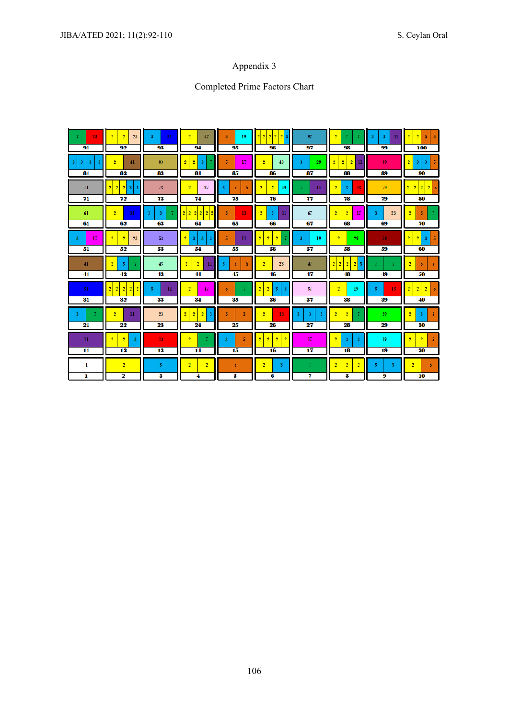## Completed Prime Factors Chart

| 13<br>91                             | 2 <sup>1</sup><br>2 <sup>1</sup><br>23<br>92                                              | 31<br>3<br>93                      | $\overline{2}$<br>47<br>94                                     | 19<br>5.<br>95                          | 2 2 2 <br>91<br>$\overline{2}$<br>96              | 97<br>97           | 2 <sup>1</sup><br>7<br>98                                                       | 3<br>3<br>$_{\rm 11}$<br>99 | $\overline{2}$<br>$\overline{2}$<br>5<br>100                               |
|--------------------------------------|-------------------------------------------------------------------------------------------|------------------------------------|----------------------------------------------------------------|-----------------------------------------|---------------------------------------------------|--------------------|---------------------------------------------------------------------------------|-----------------------------|----------------------------------------------------------------------------|
| 3 <sup>1</sup><br>-3<br>3<br>3<br>81 | $\overline{2}$<br>41<br>82                                                                | 83<br>83                           | $\overline{2}$<br>۰<br>3<br>84                                 | 17 <sup>°</sup><br>5.<br>85             | $\overline{2}$<br>43<br>86                        | 29<br>3<br>87      | $\overline{2}$<br>$\overline{2}$<br>۰<br>n<br>88                                | 89<br>89                    | 2<br>3<br>3<br>90                                                          |
| 71<br>71                             | 2 <sup>1</sup><br>$\overline{2}$<br>2 <sup>1</sup><br>31<br>$\overline{\mathbf{3}}$<br>72 | 73<br>73                           | 37<br>$\overline{2}$<br>74                                     | 5<br>5<br>3<br>75                       | $\overline{2}$<br>19<br>2 <sup>1</sup><br>76      | $\mathbf{u}$<br>77 | 2 <sup>1</sup><br>13<br>$\overline{\mathbf{3}}$<br>78                           | 79<br>79                    | $\overline{2}$<br>$\overline{2}$<br>2 <sup>1</sup><br>2 <sup>1</sup><br>80 |
| 61<br>61                             | $\overline{2}$<br>31<br>62                                                                | $\overline{\mathbf{3}}$<br>3<br>63 | 22<br>2<br>$\bullet$<br>64                                     | 13<br>5.<br>65                          | $\overline{2}$<br>$\mathbf{u}$<br>3<br>66         | 67<br>67           | $\overline{2}$<br>17<br>$\overline{2}$<br>68                                    | 23<br>3<br>69               | $\overline{2}$<br>5<br>70                                                  |
| 17<br>3<br>51                        | 2 <sup>1</sup><br>2 <sup>1</sup><br>23<br>52                                              | 53<br>53                           | $\overline{2}$<br>$\overline{\mathbf{3}}$<br>3<br>3<br>54      | $\mathbf{u}$<br>5<br>55                 | $\overline{2}$<br>2<br>$\overline{2}$<br>56       | 19<br>3.<br>57     | $\overline{2}$<br>29<br>58                                                      | 59<br>59                    | $\overline{2}$<br>$\overline{2}$<br>3<br>60                                |
| 41<br>41                             | $\overline{2}$<br>$\overline{\mathbf{3}}$<br>42                                           | 43<br>43                           | 2 <sup>1</sup><br>2 <sup>1</sup><br>$\mathbf{u}$<br>44         | 5<br>5<br>$\overline{\mathbf{3}}$<br>45 | $\overline{2}$<br>23<br>46                        | 47<br>47           | $\overline{2}$<br>$\overline{2}$<br>2 <sup>1</sup><br>$\overline{2}$<br>3<br>48 | 49                          | $\overline{2}$<br>5<br>-5<br>50                                            |
| 31<br>31                             | $\overline{2}$<br>$\overline{2}$<br>$\overline{2}$<br>$\overline{2}$<br>2<br>32           | $_{\rm 11}$<br>3<br>33             | $\overline{2}$<br>17<br>34                                     | 5<br>35                                 | $\overline{2}$<br>$\overline{2}$<br>3<br>3<br>36  | 37<br>37           | $\overline{2}$<br>19<br>38                                                      | 13<br>3<br>39               | $\overline{2}$<br>$\overline{2}$<br>$\overline{2}$<br>40                   |
| 3<br>7<br>21                         | $\mathbf{u}$<br>2 <sup>1</sup><br>22                                                      | 23<br>23                           | 2 <sup>1</sup><br>2 <sup>1</sup><br>-3<br>$\overline{2}$<br>24 | 5<br>5<br>25                            | 13<br>$\overline{2}$<br>26                        | 3<br>3.<br>3<br>27 | $\overline{2}$<br>2 <sup>1</sup><br>28                                          | 29<br>29                    | $\overline{2}$<br>3<br>5<br>30                                             |
| $\mathbf{u}$<br>11                   | 2 <sup>1</sup><br>$\overline{2}$<br>з<br>12                                               | 13<br>13                           | $\overline{2}$<br>14                                           | 5<br>3.<br>15                           | $\overline{2}$<br>۰<br>$\overline{2}$<br>ŋ,<br>16 | 17<br>17           | $\overline{2}$<br>3<br>з<br>18                                                  | 19<br>19                    | $\overline{2}$<br>$\overline{2}$<br>5<br>20                                |
| 1<br>1                               | $\overline{2}$<br>2                                                                       | 3<br>3                             | $\overline{2}$<br>$\overline{2}$<br>4                          | 5<br>5                                  | $\overline{2}$<br>$\overline{\mathbf{3}}$<br>6    | $\tau$<br>7        | $\overline{2}$<br>2 <sup>1</sup><br>$\overline{2}$<br>8                         | 3<br>3<br>9                 | $\overline{2}$<br>5.<br>10                                                 |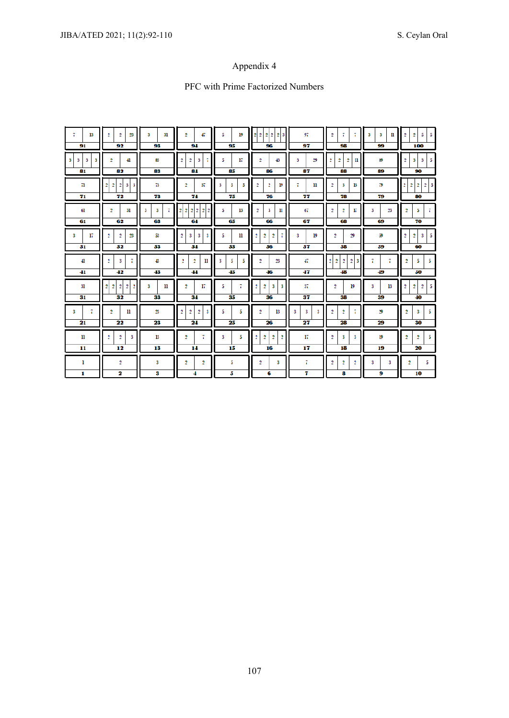# PFC with Prime Factorized Numbers

| 7<br>13<br>91                                             | $\overline{2}$<br>$\overline{2}$<br>23<br>92                                                 | 31<br>3<br>93 | $\overline{2}$<br>47<br>94                                                           | 5<br>19<br>95     | 2 2 2 2<br>$\overline{2}$<br>3<br>96                                       | 97<br>97                     | $\overline{2}$<br>7<br>7<br>98                                                  | 3<br>3<br>n<br>99 | 5<br>$\overline{2}$<br>$\overline{2}$<br>5.<br>100                 |  |
|-----------------------------------------------------------|----------------------------------------------------------------------------------------------|---------------|--------------------------------------------------------------------------------------|-------------------|----------------------------------------------------------------------------|------------------------------|---------------------------------------------------------------------------------|-------------------|--------------------------------------------------------------------|--|
| $\overline{\mathbf{3}}$<br>3 <sup>1</sup><br>3<br>3<br>81 | $\overline{2}$<br>$\overline{41}$<br>82                                                      | 83<br>83      | $\overline{2}$<br>$\overline{2}$<br>3<br>7<br>84                                     | 5<br>17<br>85     | $\overline{2}$<br>43<br>86                                                 | 29<br>3<br>87                | $\overline{2}$<br>$\overline{2}$<br>$\overline{2}$<br>$_{\rm ll}$<br>88         | 89<br>89          | 5<br>$\overline{2}$<br>3<br>3<br>90                                |  |
| 71<br>71                                                  | $\overline{2}$<br>$\overline{2}$<br>$\overline{2}$<br>$\mathbf{3}$<br>3<br>72                | 73<br>73      | 37<br>2<br>74                                                                        | 3<br>5<br>5<br>75 | $\overline{2}$<br>2<br>19<br>76                                            | 7<br>$\mathbf{u}$<br>77      | $\overline{2}$<br>3<br>13<br>78                                                 | 79<br>79          | $\overline{2}$<br>$\overline{2}$<br>2<br>$\overline{2}$<br>5<br>80 |  |
| 61<br>61                                                  | $\overline{2}$<br>31<br>62                                                                   | 3<br>3<br>63  | $\overline{2}$<br>$\overline{2}$<br>$\overline{2}$<br>$\overline{2}$<br>2<br>,<br>64 | 5.<br>13<br>65    | $\overline{2}$<br>3<br>$_{\rm ll}$<br>66                                   |                              | $\overline{2}$<br>$\overline{2}$<br>17<br>68                                    | 23<br>3<br>69     | $\overline{2}$<br>5<br>7<br>70                                     |  |
| 3<br>17<br>51                                             | $\overline{2}$<br>$\overline{2}$<br>23<br>52                                                 | 53<br>53      | $\overline{2}$<br>$\overline{\mathbf{3}}$<br>3<br>3<br>54                            | 5.<br>H<br>55     | $\overline{2}$<br>$\overline{2}$<br>$\overline{2}$<br>56                   | 19<br>3.<br>57               | 29<br>$\overline{2}$<br>58                                                      | 59<br>59          | $\overline{2}$<br>5<br>$\overline{2}$<br>3<br>60                   |  |
| 41<br>41                                                  | $\overline{2}$<br>3<br>7<br>42                                                               | 43<br>43      | $\overline{2}$<br>$\overline{2}$<br>n<br>44                                          | 3<br>5<br>5<br>45 | $\overline{2}$<br>23<br>46                                                 | 47<br>47                     | $\overline{2}$<br>$\overline{2}$<br>$\overline{2}$<br>$\overline{2}$<br>3<br>48 | 7<br>7<br>49      | $\overline{2}$<br>5<br>5<br>50                                     |  |
| 31<br>31                                                  | $\overline{2}$<br>$\overline{2}$<br>$\overline{2}$<br>$\overline{2}$<br>$\overline{2}$<br>32 | 3<br>n<br>33  | 17<br>$\overline{2}$<br>34                                                           | 7<br>5<br>35      | $\overline{2}$<br>$\overline{2}$<br>3<br>$\mathbf{3}$<br>36                | 37<br>37                     | $\overline{2}$<br>19<br>38                                                      | 3<br>13<br>39     | $\overline{2}$<br>5<br>$\overline{2}$<br>$\overline{2}$<br>40      |  |
| 7<br>3<br>21                                              | $\overline{2}$<br>n<br>22                                                                    | 23<br>23      | $\overline{2}$<br>$\overline{2}$<br>$\overline{2}$<br>3<br>24                        | 5<br>5<br>25      | $\overline{2}$<br>13<br>26                                                 | $\mathbf{3}$<br>3<br>3<br>27 | $\overline{2}$<br>$\overline{2}$<br>28                                          | 29<br>29          | $\overline{2}$<br>3<br>5<br>30                                     |  |
| 11<br>11                                                  | $\overline{2}$<br>$\overline{2}$<br>$\overline{\mathbf{3}}$<br>12                            | 13<br>13      | $\overline{2}$<br>7<br>14                                                            | 5<br>3<br>15      | $\overline{2}$<br>$\overline{2}$<br>$\overline{2}$<br>$\overline{2}$<br>16 | 17<br>17                     | $\overline{2}$<br>3<br>3<br>18                                                  | 19<br>19          | $\overline{2}$<br>$\overline{2}$<br>5<br>20                        |  |
| 1<br>1                                                    | $\overline{2}$<br>2                                                                          | 3<br>3        | $\overline{2}$<br>$\overline{2}$<br>4                                                | 5<br>5            | $\overline{2}$<br>3<br>6                                                   | 7<br>7                       | $\overline{2}$<br>$\overline{2}$<br>$\overline{2}$<br>8                         | 3<br>3<br>9       | 2<br>5<br>10                                                       |  |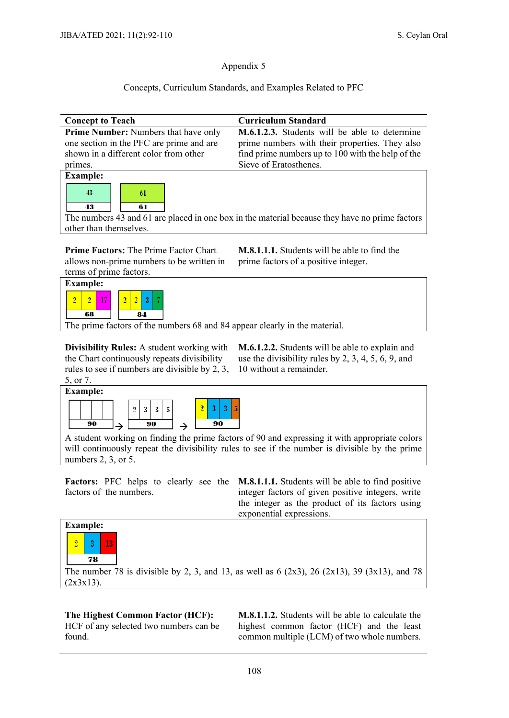#### Concepts, Curriculum Standards, and Examples Related to PFC

| <b>Concept to Teach</b>                     | <b>Curriculum Standard</b>                                                                     |
|---------------------------------------------|------------------------------------------------------------------------------------------------|
| <b>Prime Number:</b> Numbers that have only | <b>M.6.1.2.3.</b> Students will be able to determine                                           |
| one section in the PFC are prime and are    | prime numbers with their properties. They also                                                 |
| shown in a different color from other       | find prime numbers up to 100 with the help of the                                              |
| primes.                                     | Sieve of Eratosthenes.                                                                         |
| <b>Example:</b>                             |                                                                                                |
| 43<br>61<br>43<br>61                        |                                                                                                |
|                                             | The numbers 43 and 61 are placed in one box in the material because they have no prime factors |
| other than themselves.                      |                                                                                                |
| Drima Footage The Drima Footag Chart        | M $\theta$ 1 1 1 Ctudents will be oblate find the                                              |

**Prime Factors:** The Prime Factor Chart allows non-prime numbers to be written in terms of prime factors.

**M.8.1.1.1.** Students will be able to find the prime factors of a positive integer.



The prime factors of the numbers 68 and 84 appear clearly in the material.

**Divisibility Rules:** A student working with the Chart continuously repeats divisibility rules to see if numbers are divisible by 2, 3, 5, or 7.

**M.6.1.2.2.** Students will be able to explain and use the divisibility rules by 2, 3, 4, 5, 6, 9, and 10 without a remainder.



A student working on finding the prime factors of 90 and expressing it with appropriate colors will continuously repeat the divisibility rules to see if the number is divisible by the prime numbers 2, 3, or 5.

factors of the numbers.

Factors: PFC helps to clearly see the **M.8.1.1.1.** Students will be able to find positive integer factors of given positive integers, write the integer as the product of its factors using exponential expressions.



The number 78 is divisible by 2, 3, and 13, as well as 6  $(2x3)$ , 26  $(2x13)$ , 39  $(3x13)$ , and 78  $(2x3x13)$ .

**The Highest Common Factor (HCF):**  HCF of any selected two numbers can be found.

**M.8.1.1.2.** Students will be able to calculate the highest common factor (HCF) and the least common multiple (LCM) of two whole numbers.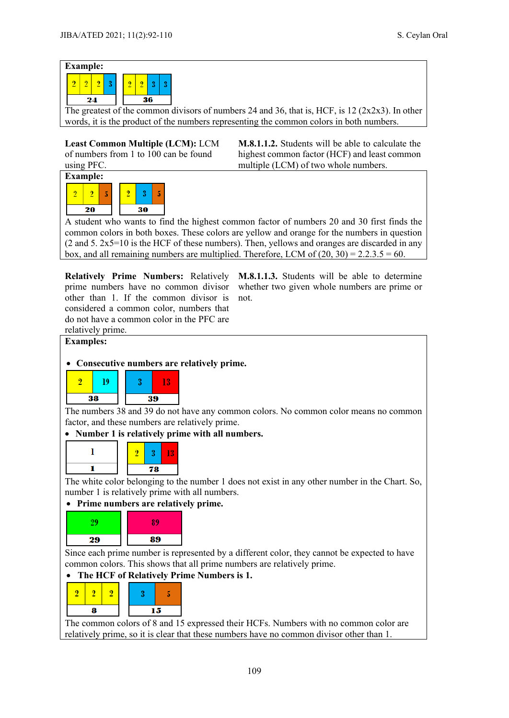

The greatest of the common divisors of numbers 24 and 36, that is, HCF, is 12 ( $2x2x3$ ). In other words, it is the product of the numbers representing the common colors in both numbers.

**Least Common Multiple (LCM):** LCM of numbers from 1 to 100 can be found using PFC.

**M.8.1.1.2.** Students will be able to calculate the highest common factor (HCF) and least common multiple (LCM) of two whole numbers.



A student who wants to find the highest common factor of numbers 20 and 30 first finds the common colors in both boxes. These colors are yellow and orange for the numbers in question  $(2 \text{ and } 5. 2x5=10 \text{ is the HCF of these numbers})$ . Then, yellows and oranges are discarded in any box, and all remaining numbers are multiplied. Therefore, LCM of  $(20, 30) = 2.2.3.5 = 60$ .

other than 1. If the common divisor is considered a common color, numbers that do not have a common color in the PFC are relatively prime.

**Relatively Prime Numbers:** Relatively **M.8.1.1.3.** Students will be able to determine prime numbers have no common divisor whether two given whole numbers are prime or not.



#### • **Consecutive numbers are relatively prime.**



The numbers 38 and 39 do not have any common colors. No common color means no common factor, and these numbers are relatively prime.

#### • **Number 1 is relatively prime with all numbers.**



The white color belonging to the number 1 does not exist in any other number in the Chart. So, number 1 is relatively prime with all numbers.

#### • **Prime numbers are relatively prime.**



Since each prime number is represented by a different color, they cannot be expected to have common colors. This shows that all prime numbers are relatively prime.

### • **The HCF of Relatively Prime Numbers is 1.**



The common colors of 8 and 15 expressed their HCFs. Numbers with no common color are relatively prime, so it is clear that these numbers have no common divisor other than 1.